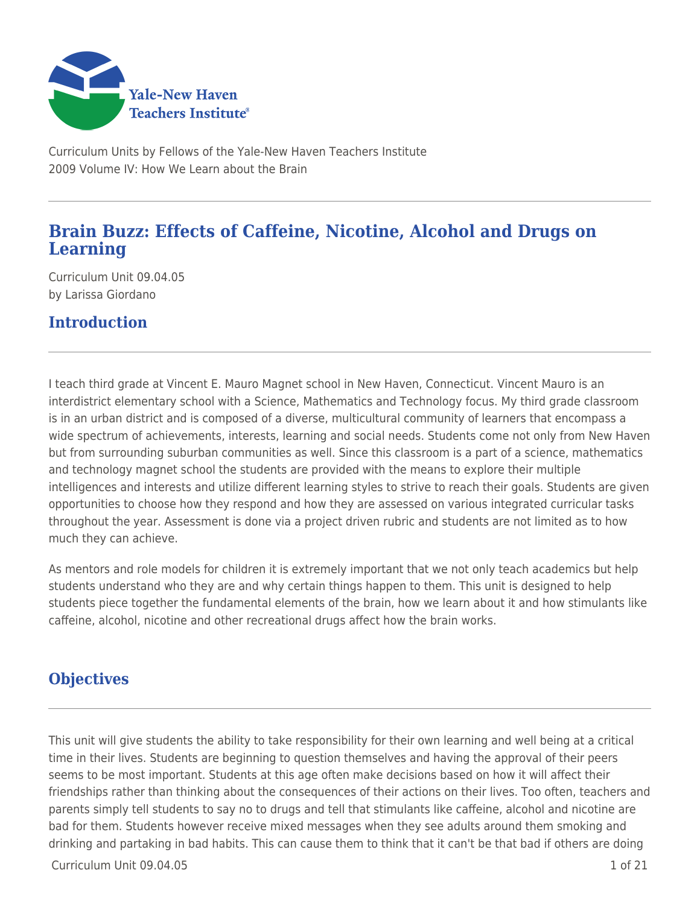

Curriculum Units by Fellows of the Yale-New Haven Teachers Institute 2009 Volume IV: How We Learn about the Brain

# **Brain Buzz: Effects of Caffeine, Nicotine, Alcohol and Drugs on Learning**

Curriculum Unit 09.04.05 by Larissa Giordano

# **Introduction**

I teach third grade at Vincent E. Mauro Magnet school in New Haven, Connecticut. Vincent Mauro is an interdistrict elementary school with a Science, Mathematics and Technology focus. My third grade classroom is in an urban district and is composed of a diverse, multicultural community of learners that encompass a wide spectrum of achievements, interests, learning and social needs. Students come not only from New Haven but from surrounding suburban communities as well. Since this classroom is a part of a science, mathematics and technology magnet school the students are provided with the means to explore their multiple intelligences and interests and utilize different learning styles to strive to reach their goals. Students are given opportunities to choose how they respond and how they are assessed on various integrated curricular tasks throughout the year. Assessment is done via a project driven rubric and students are not limited as to how much they can achieve.

As mentors and role models for children it is extremely important that we not only teach academics but help students understand who they are and why certain things happen to them. This unit is designed to help students piece together the fundamental elements of the brain, how we learn about it and how stimulants like caffeine, alcohol, nicotine and other recreational drugs affect how the brain works.

## **Objectives**

This unit will give students the ability to take responsibility for their own learning and well being at a critical time in their lives. Students are beginning to question themselves and having the approval of their peers seems to be most important. Students at this age often make decisions based on how it will affect their friendships rather than thinking about the consequences of their actions on their lives. Too often, teachers and parents simply tell students to say no to drugs and tell that stimulants like caffeine, alcohol and nicotine are bad for them. Students however receive mixed messages when they see adults around them smoking and drinking and partaking in bad habits. This can cause them to think that it can't be that bad if others are doing

 $C$ urriculum Unit 09.04.05  $\qquad \qquad$  1 of 21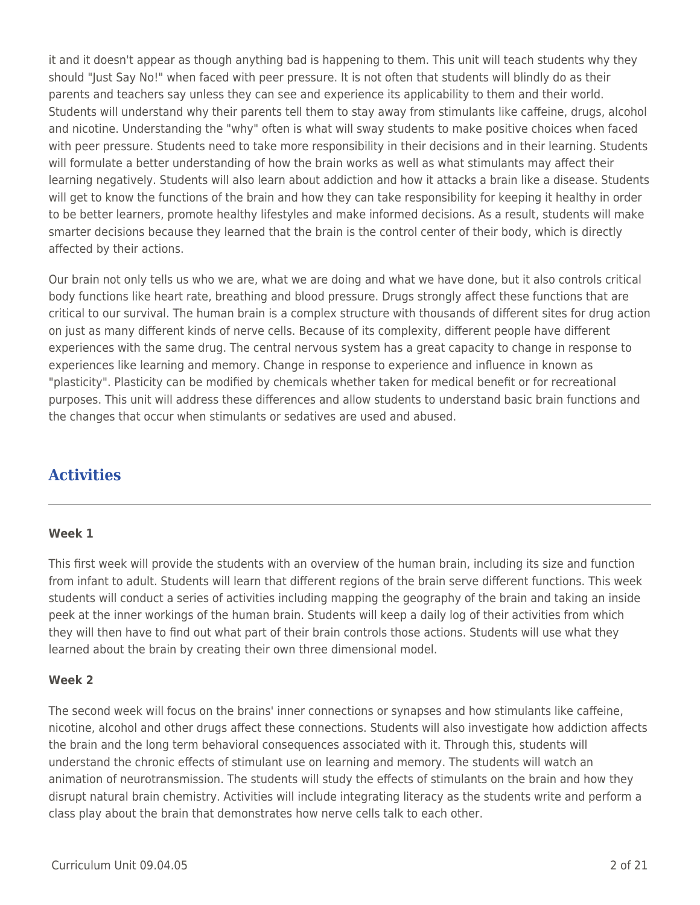it and it doesn't appear as though anything bad is happening to them. This unit will teach students why they should "Just Say No!" when faced with peer pressure. It is not often that students will blindly do as their parents and teachers say unless they can see and experience its applicability to them and their world. Students will understand why their parents tell them to stay away from stimulants like caffeine, drugs, alcohol and nicotine. Understanding the "why" often is what will sway students to make positive choices when faced with peer pressure. Students need to take more responsibility in their decisions and in their learning. Students will formulate a better understanding of how the brain works as well as what stimulants may affect their learning negatively. Students will also learn about addiction and how it attacks a brain like a disease. Students will get to know the functions of the brain and how they can take responsibility for keeping it healthy in order to be better learners, promote healthy lifestyles and make informed decisions. As a result, students will make smarter decisions because they learned that the brain is the control center of their body, which is directly affected by their actions.

Our brain not only tells us who we are, what we are doing and what we have done, but it also controls critical body functions like heart rate, breathing and blood pressure. Drugs strongly affect these functions that are critical to our survival. The human brain is a complex structure with thousands of different sites for drug action on just as many different kinds of nerve cells. Because of its complexity, different people have different experiences with the same drug. The central nervous system has a great capacity to change in response to experiences like learning and memory. Change in response to experience and influence in known as "plasticity". Plasticity can be modified by chemicals whether taken for medical benefit or for recreational purposes. This unit will address these differences and allow students to understand basic brain functions and the changes that occur when stimulants or sedatives are used and abused.

# **Activities**

#### **Week 1**

This first week will provide the students with an overview of the human brain, including its size and function from infant to adult. Students will learn that different regions of the brain serve different functions. This week students will conduct a series of activities including mapping the geography of the brain and taking an inside peek at the inner workings of the human brain. Students will keep a daily log of their activities from which they will then have to find out what part of their brain controls those actions. Students will use what they learned about the brain by creating their own three dimensional model.

### **Week 2**

The second week will focus on the brains' inner connections or synapses and how stimulants like caffeine, nicotine, alcohol and other drugs affect these connections. Students will also investigate how addiction affects the brain and the long term behavioral consequences associated with it. Through this, students will understand the chronic effects of stimulant use on learning and memory. The students will watch an animation of neurotransmission. The students will study the effects of stimulants on the brain and how they disrupt natural brain chemistry. Activities will include integrating literacy as the students write and perform a class play about the brain that demonstrates how nerve cells talk to each other.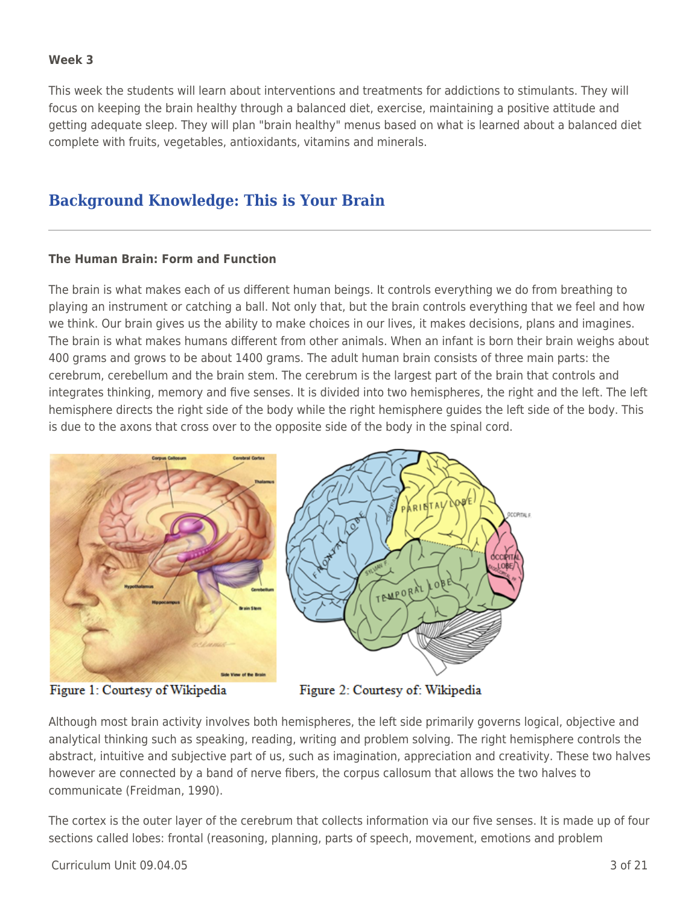#### **Week 3**

This week the students will learn about interventions and treatments for addictions to stimulants. They will focus on keeping the brain healthy through a balanced diet, exercise, maintaining a positive attitude and getting adequate sleep. They will plan "brain healthy" menus based on what is learned about a balanced diet complete with fruits, vegetables, antioxidants, vitamins and minerals.

## **Background Knowledge: This is Your Brain**

#### **The Human Brain: Form and Function**

The brain is what makes each of us different human beings. It controls everything we do from breathing to playing an instrument or catching a ball. Not only that, but the brain controls everything that we feel and how we think. Our brain gives us the ability to make choices in our lives, it makes decisions, plans and imagines. The brain is what makes humans different from other animals. When an infant is born their brain weighs about 400 grams and grows to be about 1400 grams. The adult human brain consists of three main parts: the cerebrum, cerebellum and the brain stem. The cerebrum is the largest part of the brain that controls and integrates thinking, memory and five senses. It is divided into two hemispheres, the right and the left. The left hemisphere directs the right side of the body while the right hemisphere guides the left side of the body. This is due to the axons that cross over to the opposite side of the body in the spinal cord.



Figure 1: Courtesy of Wikipedia

Figure 2: Courtesy of: Wikipedia

Although most brain activity involves both hemispheres, the left side primarily governs logical, objective and analytical thinking such as speaking, reading, writing and problem solving. The right hemisphere controls the abstract, intuitive and subjective part of us, such as imagination, appreciation and creativity. These two halves however are connected by a band of nerve fibers, the corpus callosum that allows the two halves to communicate (Freidman, 1990).

The cortex is the outer layer of the cerebrum that collects information via our five senses. It is made up of four sections called lobes: frontal (reasoning, planning, parts of speech, movement, emotions and problem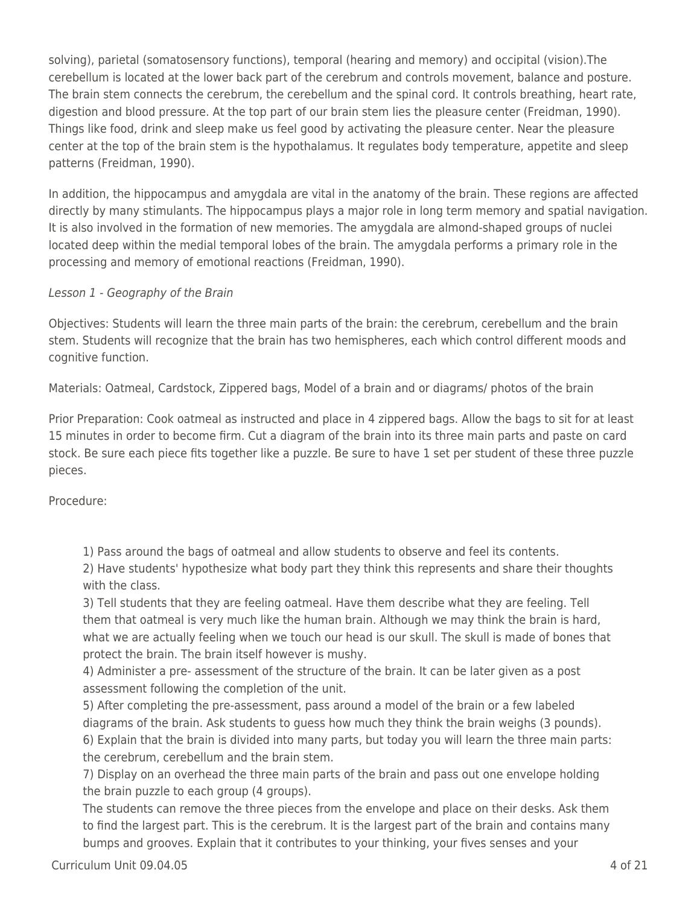solving), parietal (somatosensory functions), temporal (hearing and memory) and occipital (vision).The cerebellum is located at the lower back part of the cerebrum and controls movement, balance and posture. The brain stem connects the cerebrum, the cerebellum and the spinal cord. It controls breathing, heart rate, digestion and blood pressure. At the top part of our brain stem lies the pleasure center (Freidman, 1990). Things like food, drink and sleep make us feel good by activating the pleasure center. Near the pleasure center at the top of the brain stem is the hypothalamus. It regulates body temperature, appetite and sleep patterns (Freidman, 1990).

In addition, the hippocampus and amygdala are vital in the anatomy of the brain. These regions are affected directly by many stimulants. The hippocampus plays a major role in long term memory and spatial navigation. It is also involved in the formation of new memories. The amygdala are almond-shaped groups of nuclei located deep within the medial temporal lobes of the brain. The amygdala performs a primary role in the processing and memory of emotional reactions (Freidman, 1990).

#### Lesson 1 - Geography of the Brain

Objectives: Students will learn the three main parts of the brain: the cerebrum, cerebellum and the brain stem. Students will recognize that the brain has two hemispheres, each which control different moods and cognitive function.

Materials: Oatmeal, Cardstock, Zippered bags, Model of a brain and or diagrams/ photos of the brain

Prior Preparation: Cook oatmeal as instructed and place in 4 zippered bags. Allow the bags to sit for at least 15 minutes in order to become firm. Cut a diagram of the brain into its three main parts and paste on card stock. Be sure each piece fits together like a puzzle. Be sure to have 1 set per student of these three puzzle pieces.

Procedure:

1) Pass around the bags of oatmeal and allow students to observe and feel its contents.

2) Have students' hypothesize what body part they think this represents and share their thoughts with the class.

3) Tell students that they are feeling oatmeal. Have them describe what they are feeling. Tell them that oatmeal is very much like the human brain. Although we may think the brain is hard, what we are actually feeling when we touch our head is our skull. The skull is made of bones that protect the brain. The brain itself however is mushy.

4) Administer a pre- assessment of the structure of the brain. It can be later given as a post assessment following the completion of the unit.

5) After completing the pre-assessment, pass around a model of the brain or a few labeled diagrams of the brain. Ask students to guess how much they think the brain weighs (3 pounds).

6) Explain that the brain is divided into many parts, but today you will learn the three main parts: the cerebrum, cerebellum and the brain stem.

7) Display on an overhead the three main parts of the brain and pass out one envelope holding the brain puzzle to each group (4 groups).

The students can remove the three pieces from the envelope and place on their desks. Ask them to find the largest part. This is the cerebrum. It is the largest part of the brain and contains many bumps and grooves. Explain that it contributes to your thinking, your fives senses and your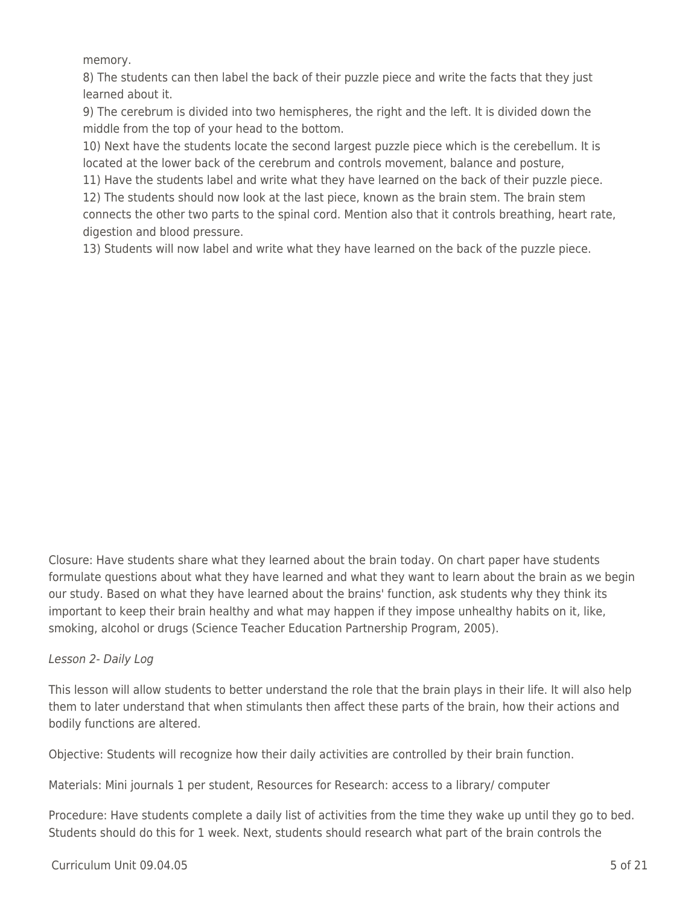memory.

8) The students can then label the back of their puzzle piece and write the facts that they just learned about it.

9) The cerebrum is divided into two hemispheres, the right and the left. It is divided down the middle from the top of your head to the bottom.

10) Next have the students locate the second largest puzzle piece which is the cerebellum. It is located at the lower back of the cerebrum and controls movement, balance and posture,

11) Have the students label and write what they have learned on the back of their puzzle piece.

12) The students should now look at the last piece, known as the brain stem. The brain stem connects the other two parts to the spinal cord. Mention also that it controls breathing, heart rate, digestion and blood pressure.

13) Students will now label and write what they have learned on the back of the puzzle piece.

Closure: Have students share what they learned about the brain today. On chart paper have students formulate questions about what they have learned and what they want to learn about the brain as we begin our study. Based on what they have learned about the brains' function, ask students why they think its important to keep their brain healthy and what may happen if they impose unhealthy habits on it, like, smoking, alcohol or drugs (Science Teacher Education Partnership Program, 2005).

### Lesson 2- Daily Log

This lesson will allow students to better understand the role that the brain plays in their life. It will also help them to later understand that when stimulants then affect these parts of the brain, how their actions and bodily functions are altered.

Objective: Students will recognize how their daily activities are controlled by their brain function.

Materials: Mini journals 1 per student, Resources for Research: access to a library/ computer

Procedure: Have students complete a daily list of activities from the time they wake up until they go to bed. Students should do this for 1 week. Next, students should research what part of the brain controls the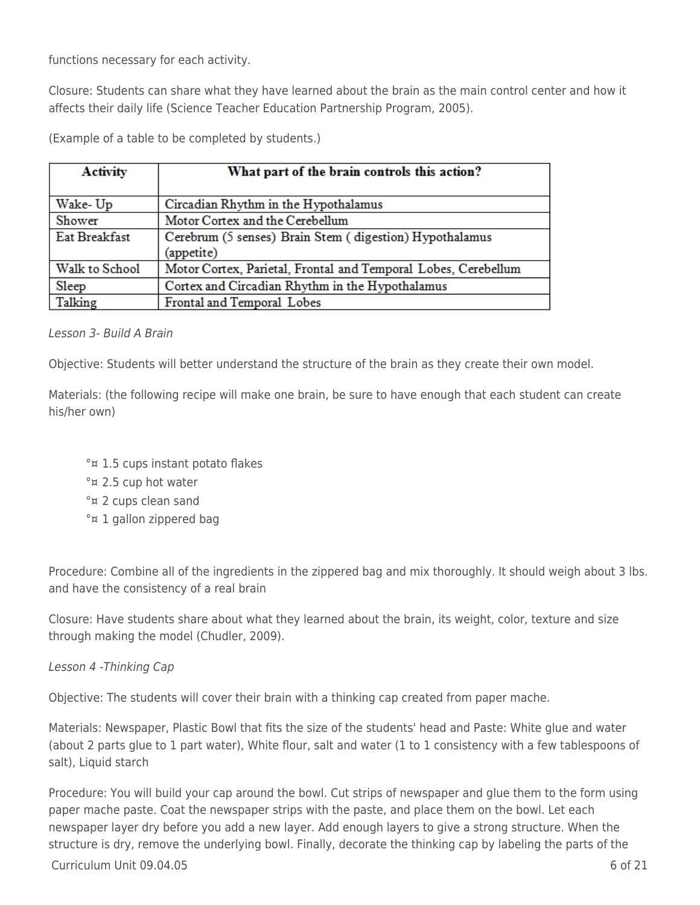functions necessary for each activity.

Closure: Students can share what they have learned about the brain as the main control center and how it affects their daily life (Science Teacher Education Partnership Program, 2005).

(Example of a table to be completed by students.)

| <b>Activity</b> | What part of the brain controls this action?                          |
|-----------------|-----------------------------------------------------------------------|
| Wake-Up         | Circadian Rhythm in the Hypothalamus                                  |
| Shower          | Motor Cortex and the Cerebellum                                       |
| Eat Breakfast   | Cerebrum (5 senses) Brain Stem (digestion) Hypothalamus<br>(appetite) |
| Walk to School  | Motor Cortex, Parietal, Frontal and Temporal Lobes, Cerebellum        |
| Sleep           | Cortex and Circadian Rhythm in the Hypothalamus                       |
| Talking         | Frontal and Temporal Lobes                                            |

#### Lesson 3- Build A Brain

Objective: Students will better understand the structure of the brain as they create their own model.

Materials: (the following recipe will make one brain, be sure to have enough that each student can create his/her own)

- °¤ 1.5 cups instant potato flakes
- °¤ 2.5 cup hot water
- °¤ 2 cups clean sand
- °¤ 1 gallon zippered bag

Procedure: Combine all of the ingredients in the zippered bag and mix thoroughly. It should weigh about 3 lbs. and have the consistency of a real brain

Closure: Have students share about what they learned about the brain, its weight, color, texture and size through making the model (Chudler, 2009).

Lesson 4 -Thinking Cap

Objective: The students will cover their brain with a thinking cap created from paper mache.

Materials: Newspaper, Plastic Bowl that fits the size of the students' head and Paste: White glue and water (about 2 parts glue to 1 part water), White flour, salt and water (1 to 1 consistency with a few tablespoons of salt), Liquid starch

Procedure: You will build your cap around the bowl. Cut strips of newspaper and glue them to the form using paper mache paste. Coat the newspaper strips with the paste, and place them on the bowl. Let each newspaper layer dry before you add a new layer. Add enough layers to give a strong structure. When the structure is dry, remove the underlying bowl. Finally, decorate the thinking cap by labeling the parts of the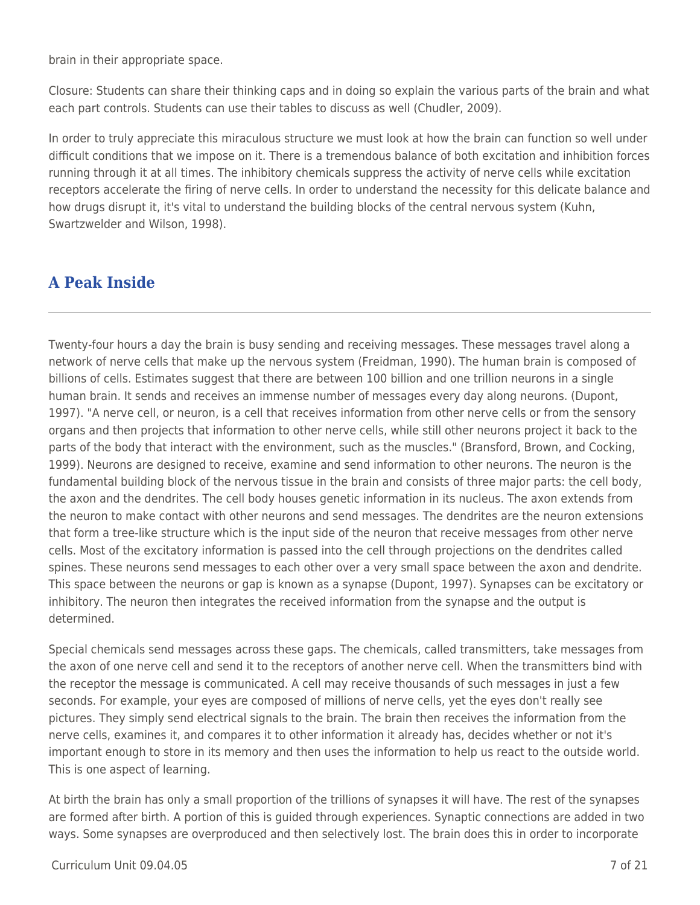brain in their appropriate space.

Closure: Students can share their thinking caps and in doing so explain the various parts of the brain and what each part controls. Students can use their tables to discuss as well (Chudler, 2009).

In order to truly appreciate this miraculous structure we must look at how the brain can function so well under difficult conditions that we impose on it. There is a tremendous balance of both excitation and inhibition forces running through it at all times. The inhibitory chemicals suppress the activity of nerve cells while excitation receptors accelerate the firing of nerve cells. In order to understand the necessity for this delicate balance and how drugs disrupt it, it's vital to understand the building blocks of the central nervous system (Kuhn, Swartzwelder and Wilson, 1998).

# **A Peak Inside**

Twenty-four hours a day the brain is busy sending and receiving messages. These messages travel along a network of nerve cells that make up the nervous system (Freidman, 1990). The human brain is composed of billions of cells. Estimates suggest that there are between 100 billion and one trillion neurons in a single human brain. It sends and receives an immense number of messages every day along neurons. (Dupont, 1997). "A nerve cell, or neuron, is a cell that receives information from other nerve cells or from the sensory organs and then projects that information to other nerve cells, while still other neurons project it back to the parts of the body that interact with the environment, such as the muscles." (Bransford, Brown, and Cocking, 1999). Neurons are designed to receive, examine and send information to other neurons. The neuron is the fundamental building block of the nervous tissue in the brain and consists of three major parts: the cell body, the axon and the dendrites. The cell body houses genetic information in its nucleus. The axon extends from the neuron to make contact with other neurons and send messages. The dendrites are the neuron extensions that form a tree-like structure which is the input side of the neuron that receive messages from other nerve cells. Most of the excitatory information is passed into the cell through projections on the dendrites called spines. These neurons send messages to each other over a very small space between the axon and dendrite. This space between the neurons or gap is known as a synapse (Dupont, 1997). Synapses can be excitatory or inhibitory. The neuron then integrates the received information from the synapse and the output is determined.

Special chemicals send messages across these gaps. The chemicals, called transmitters, take messages from the axon of one nerve cell and send it to the receptors of another nerve cell. When the transmitters bind with the receptor the message is communicated. A cell may receive thousands of such messages in just a few seconds. For example, your eyes are composed of millions of nerve cells, yet the eyes don't really see pictures. They simply send electrical signals to the brain. The brain then receives the information from the nerve cells, examines it, and compares it to other information it already has, decides whether or not it's important enough to store in its memory and then uses the information to help us react to the outside world. This is one aspect of learning.

At birth the brain has only a small proportion of the trillions of synapses it will have. The rest of the synapses are formed after birth. A portion of this is guided through experiences. Synaptic connections are added in two ways. Some synapses are overproduced and then selectively lost. The brain does this in order to incorporate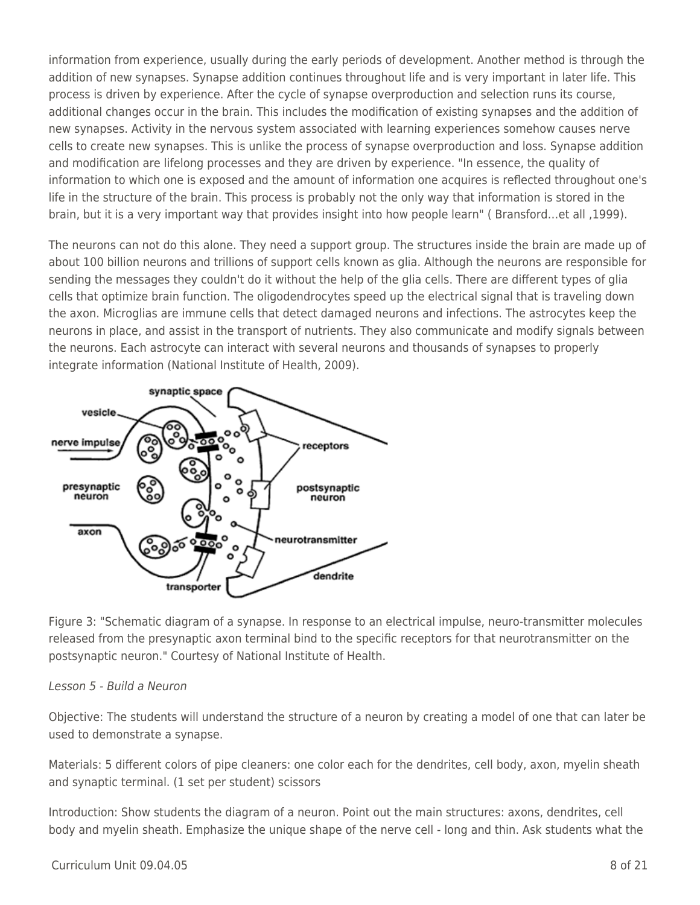information from experience, usually during the early periods of development. Another method is through the addition of new synapses. Synapse addition continues throughout life and is very important in later life. This process is driven by experience. After the cycle of synapse overproduction and selection runs its course, additional changes occur in the brain. This includes the modification of existing synapses and the addition of new synapses. Activity in the nervous system associated with learning experiences somehow causes nerve cells to create new synapses. This is unlike the process of synapse overproduction and loss. Synapse addition and modification are lifelong processes and they are driven by experience. "In essence, the quality of information to which one is exposed and the amount of information one acquires is reflected throughout one's life in the structure of the brain. This process is probably not the only way that information is stored in the brain, but it is a very important way that provides insight into how people learn" ( Bransford…et all ,1999).

The neurons can not do this alone. They need a support group. The structures inside the brain are made up of about 100 billion neurons and trillions of support cells known as glia. Although the neurons are responsible for sending the messages they couldn't do it without the help of the glia cells. There are different types of glia cells that optimize brain function. The oligodendrocytes speed up the electrical signal that is traveling down the axon. Microglias are immune cells that detect damaged neurons and infections. The astrocytes keep the neurons in place, and assist in the transport of nutrients. They also communicate and modify signals between the neurons. Each astrocyte can interact with several neurons and thousands of synapses to properly integrate information (National Institute of Health, 2009).



Figure 3: "Schematic diagram of a synapse. In response to an electrical impulse, neuro-transmitter molecules released from the presynaptic axon terminal bind to the specific receptors for that neurotransmitter on the postsynaptic neuron." Courtesy of National Institute of Health.

#### Lesson 5 - Build a Neuron

Objective: The students will understand the structure of a neuron by creating a model of one that can later be used to demonstrate a synapse.

Materials: 5 different colors of pipe cleaners: one color each for the dendrites, cell body, axon, myelin sheath and synaptic terminal. (1 set per student) scissors

Introduction: Show students the diagram of a neuron. Point out the main structures: axons, dendrites, cell body and myelin sheath. Emphasize the unique shape of the nerve cell - long and thin. Ask students what the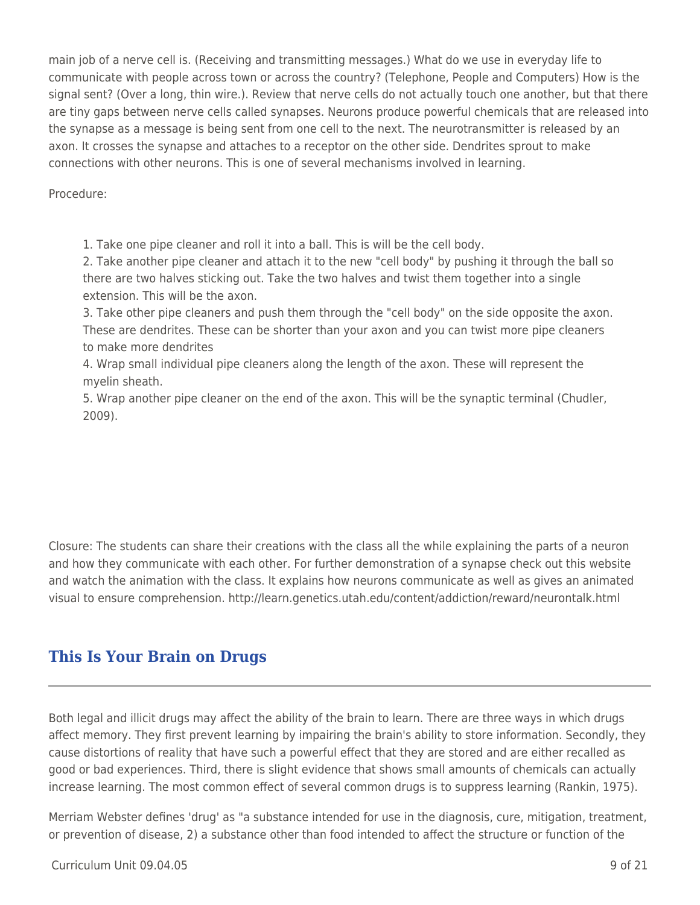main job of a nerve cell is. (Receiving and transmitting messages.) What do we use in everyday life to communicate with people across town or across the country? (Telephone, People and Computers) How is the signal sent? (Over a long, thin wire.). Review that nerve cells do not actually touch one another, but that there are tiny gaps between nerve cells called synapses. Neurons produce powerful chemicals that are released into the synapse as a message is being sent from one cell to the next. The neurotransmitter is released by an axon. It crosses the synapse and attaches to a receptor on the other side. Dendrites sprout to make connections with other neurons. This is one of several mechanisms involved in learning.

Procedure:

1. Take one pipe cleaner and roll it into a ball. This is will be the cell body.

2. Take another pipe cleaner and attach it to the new "cell body" by pushing it through the ball so there are two halves sticking out. Take the two halves and twist them together into a single extension. This will be the axon.

3. Take other pipe cleaners and push them through the "cell body" on the side opposite the axon. These are dendrites. These can be shorter than your axon and you can twist more pipe cleaners to make more dendrites

4. Wrap small individual pipe cleaners along the length of the axon. These will represent the myelin sheath.

5. Wrap another pipe cleaner on the end of the axon. This will be the synaptic terminal (Chudler, 2009).

Closure: The students can share their creations with the class all the while explaining the parts of a neuron and how they communicate with each other. For further demonstration of a synapse check out this website and watch the animation with the class. It explains how neurons communicate as well as gives an animated visual to ensure comprehension. http://learn.genetics.utah.edu/content/addiction/reward/neurontalk.html

# **This Is Your Brain on Drugs**

Both legal and illicit drugs may affect the ability of the brain to learn. There are three ways in which drugs affect memory. They first prevent learning by impairing the brain's ability to store information. Secondly, they cause distortions of reality that have such a powerful effect that they are stored and are either recalled as good or bad experiences. Third, there is slight evidence that shows small amounts of chemicals can actually increase learning. The most common effect of several common drugs is to suppress learning (Rankin, 1975).

Merriam Webster defines 'drug' as "a substance intended for use in the diagnosis, cure, mitigation, treatment, or prevention of disease, 2) a substance other than food intended to affect the structure or function of the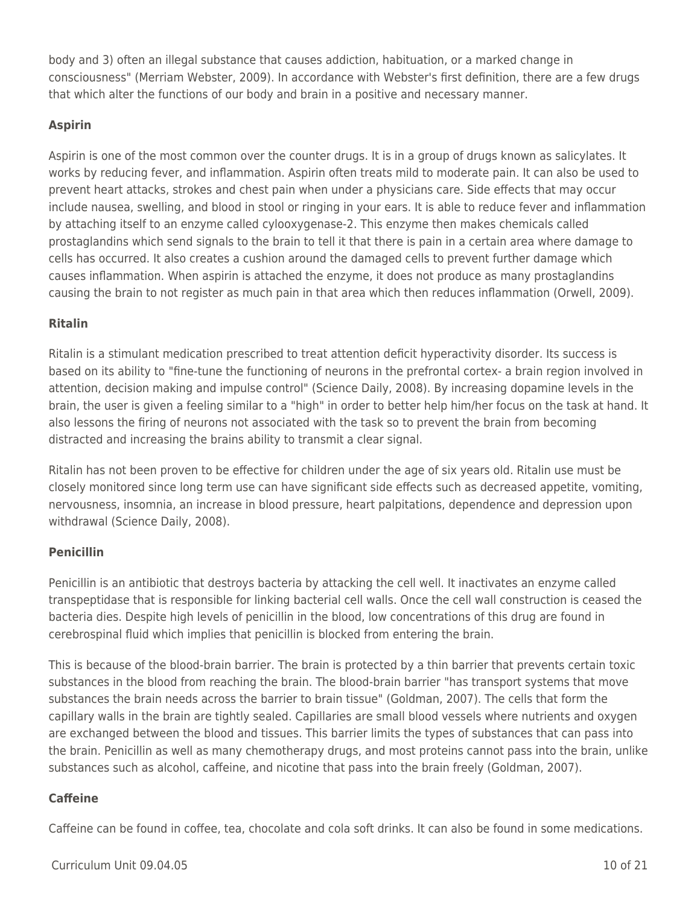body and 3) often an illegal substance that causes addiction, habituation, or a marked change in consciousness" (Merriam Webster, 2009). In accordance with Webster's first definition, there are a few drugs that which alter the functions of our body and brain in a positive and necessary manner.

### **Aspirin**

Aspirin is one of the most common over the counter drugs. It is in a group of drugs known as salicylates. It works by reducing fever, and inflammation. Aspirin often treats mild to moderate pain. It can also be used to prevent heart attacks, strokes and chest pain when under a physicians care. Side effects that may occur include nausea, swelling, and blood in stool or ringing in your ears. It is able to reduce fever and inflammation by attaching itself to an enzyme called cylooxygenase-2. This enzyme then makes chemicals called prostaglandins which send signals to the brain to tell it that there is pain in a certain area where damage to cells has occurred. It also creates a cushion around the damaged cells to prevent further damage which causes inflammation. When aspirin is attached the enzyme, it does not produce as many prostaglandins causing the brain to not register as much pain in that area which then reduces inflammation (Orwell, 2009).

### **Ritalin**

Ritalin is a stimulant medication prescribed to treat attention deficit hyperactivity disorder. Its success is based on its ability to "fine-tune the functioning of neurons in the prefrontal cortex- a brain region involved in attention, decision making and impulse control" (Science Daily, 2008). By increasing dopamine levels in the brain, the user is given a feeling similar to a "high" in order to better help him/her focus on the task at hand. It also lessons the firing of neurons not associated with the task so to prevent the brain from becoming distracted and increasing the brains ability to transmit a clear signal.

Ritalin has not been proven to be effective for children under the age of six years old. Ritalin use must be closely monitored since long term use can have significant side effects such as decreased appetite, vomiting, nervousness, insomnia, an increase in blood pressure, heart palpitations, dependence and depression upon withdrawal (Science Daily, 2008).

### **Penicillin**

Penicillin is an antibiotic that destroys bacteria by attacking the cell well. It inactivates an enzyme called transpeptidase that is responsible for linking bacterial cell walls. Once the cell wall construction is ceased the bacteria dies. Despite high levels of penicillin in the blood, low concentrations of this drug are found in cerebrospinal fluid which implies that penicillin is blocked from entering the brain.

This is because of the blood-brain barrier. The brain is protected by a thin barrier that prevents certain toxic substances in the blood from reaching the brain. The blood-brain barrier "has transport systems that move substances the brain needs across the barrier to brain tissue" (Goldman, 2007). The cells that form the capillary walls in the brain are tightly sealed. Capillaries are small blood vessels where nutrients and oxygen are exchanged between the blood and tissues. This barrier limits the types of substances that can pass into the brain. Penicillin as well as many chemotherapy drugs, and most proteins cannot pass into the brain, unlike substances such as alcohol, caffeine, and nicotine that pass into the brain freely (Goldman, 2007).

### **Caffeine**

Caffeine can be found in coffee, tea, chocolate and cola soft drinks. It can also be found in some medications.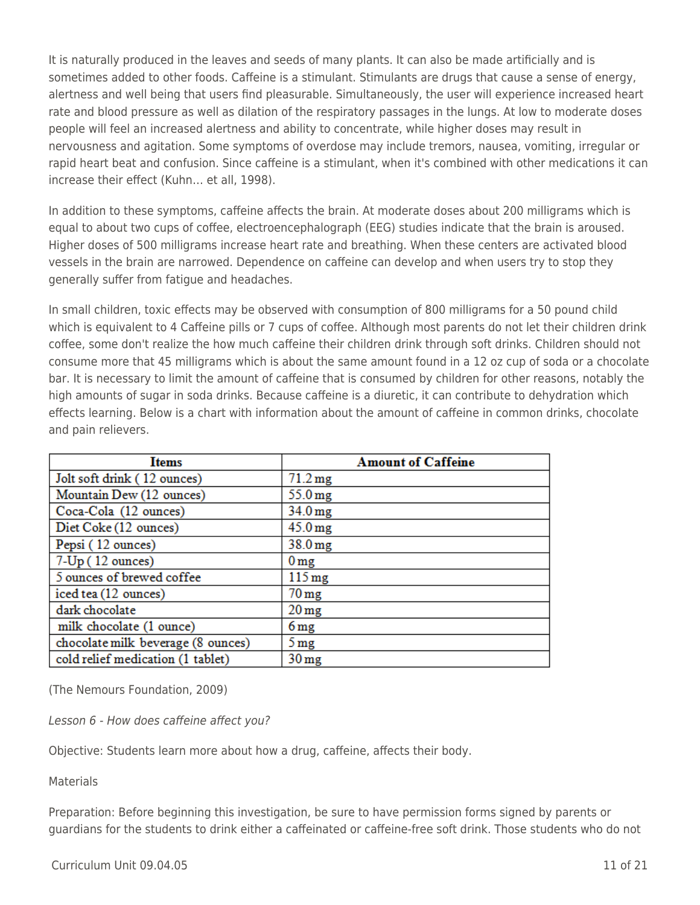It is naturally produced in the leaves and seeds of many plants. It can also be made artificially and is sometimes added to other foods. Caffeine is a stimulant. Stimulants are drugs that cause a sense of energy, alertness and well being that users find pleasurable. Simultaneously, the user will experience increased heart rate and blood pressure as well as dilation of the respiratory passages in the lungs. At low to moderate doses people will feel an increased alertness and ability to concentrate, while higher doses may result in nervousness and agitation. Some symptoms of overdose may include tremors, nausea, vomiting, irregular or rapid heart beat and confusion. Since caffeine is a stimulant, when it's combined with other medications it can increase their effect (Kuhn… et all, 1998).

In addition to these symptoms, caffeine affects the brain. At moderate doses about 200 milligrams which is equal to about two cups of coffee, electroencephalograph (EEG) studies indicate that the brain is aroused. Higher doses of 500 milligrams increase heart rate and breathing. When these centers are activated blood vessels in the brain are narrowed. Dependence on caffeine can develop and when users try to stop they generally suffer from fatigue and headaches.

In small children, toxic effects may be observed with consumption of 800 milligrams for a 50 pound child which is equivalent to 4 Caffeine pills or 7 cups of coffee. Although most parents do not let their children drink coffee, some don't realize the how much caffeine their children drink through soft drinks. Children should not consume more that 45 milligrams which is about the same amount found in a 12 oz cup of soda or a chocolate bar. It is necessary to limit the amount of caffeine that is consumed by children for other reasons, notably the high amounts of sugar in soda drinks. Because caffeine is a diuretic, it can contribute to dehydration which effects learning. Below is a chart with information about the amount of caffeine in common drinks, chocolate and pain relievers.

| <b>Items</b>                       | <b>Amount of Caffeine</b> |  |
|------------------------------------|---------------------------|--|
| Jolt soft drink (12 ounces)        | $71.2 \text{ mg}$         |  |
| Mountain Dew (12 ounces)           | $55.0 \,\mathrm{mg}$      |  |
| Coca-Cola (12 ounces)              | $34.0 \,\mathrm{mg}$      |  |
| Diet Coke (12 ounces)              | $45.0 \,\mathrm{mg}$      |  |
| Pepsi (12 ounces)                  | $38.0 \,\mathrm{mg}$      |  |
| 7-Up (12 ounces)                   | 0 <sub>mg</sub>           |  |
| 5 ounces of brewed coffee          | $115 \,\mathrm{mg}$       |  |
| iced tea (12 ounces)               | $70 \,\mathrm{mg}$        |  |
| dark chocolate                     | $20 \,\mathrm{mg}$        |  |
| milk chocolate (1 ounce)           | 6 <sub>mg</sub>           |  |
| chocolate milk beverage (8 ounces) | $5 \,\mathrm{mg}$         |  |
| cold relief medication (1 tablet)  | 30 <sub>mg</sub>          |  |

(The Nemours Foundation, 2009)

Lesson 6 - How does caffeine affect you?

Objective: Students learn more about how a drug, caffeine, affects their body.

**Materials** 

Preparation: Before beginning this investigation, be sure to have permission forms signed by parents or guardians for the students to drink either a caffeinated or caffeine-free soft drink. Those students who do not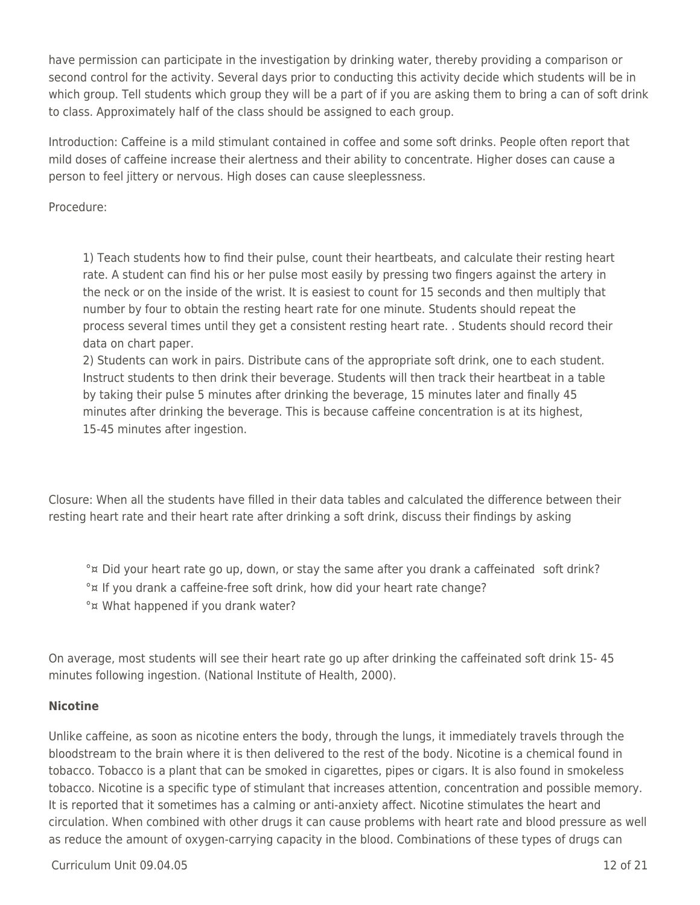have permission can participate in the investigation by drinking water, thereby providing a comparison or second control for the activity. Several days prior to conducting this activity decide which students will be in which group. Tell students which group they will be a part of if you are asking them to bring a can of soft drink to class. Approximately half of the class should be assigned to each group.

Introduction: Caffeine is a mild stimulant contained in coffee and some soft drinks. People often report that mild doses of caffeine increase their alertness and their ability to concentrate. Higher doses can cause a person to feel jittery or nervous. High doses can cause sleeplessness.

Procedure:

1) Teach students how to find their pulse, count their heartbeats, and calculate their resting heart rate. A student can find his or her pulse most easily by pressing two fingers against the artery in the neck or on the inside of the wrist. It is easiest to count for 15 seconds and then multiply that number by four to obtain the resting heart rate for one minute. Students should repeat the process several times until they get a consistent resting heart rate. . Students should record their data on chart paper.

2) Students can work in pairs. Distribute cans of the appropriate soft drink, one to each student. Instruct students to then drink their beverage. Students will then track their heartbeat in a table by taking their pulse 5 minutes after drinking the beverage, 15 minutes later and finally 45 minutes after drinking the beverage. This is because caffeine concentration is at its highest, 15-45 minutes after ingestion.

Closure: When all the students have filled in their data tables and calculated the difference between their resting heart rate and their heart rate after drinking a soft drink, discuss their findings by asking

°¤ Did your heart rate go up, down, or stay the same after you drank a caffeinated soft drink? °¤ If you drank a caffeine-free soft drink, how did your heart rate change? °¤ What happened if you drank water?

On average, most students will see their heart rate go up after drinking the caffeinated soft drink 15- 45 minutes following ingestion. (National Institute of Health, 2000).

### **Nicotine**

Unlike caffeine, as soon as nicotine enters the body, through the lungs, it immediately travels through the bloodstream to the brain where it is then delivered to the rest of the body. Nicotine is a chemical found in tobacco. Tobacco is a plant that can be smoked in cigarettes, pipes or cigars. It is also found in smokeless tobacco. Nicotine is a specific type of stimulant that increases attention, concentration and possible memory. It is reported that it sometimes has a calming or anti-anxiety affect. Nicotine stimulates the heart and circulation. When combined with other drugs it can cause problems with heart rate and blood pressure as well as reduce the amount of oxygen-carrying capacity in the blood. Combinations of these types of drugs can

 $C$ urriculum Unit 09.04.05 12 of 21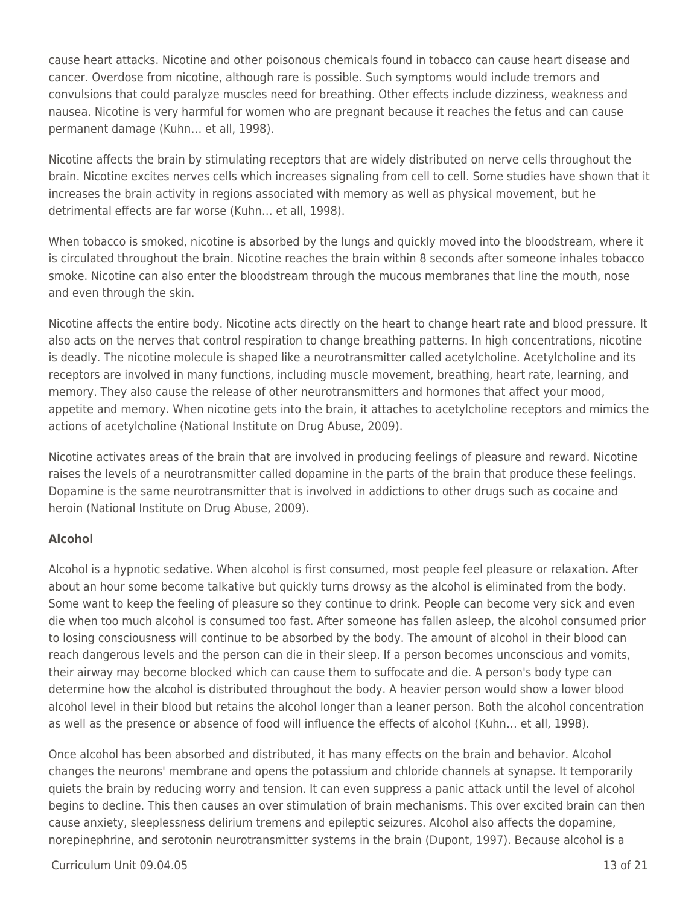cause heart attacks. Nicotine and other poisonous chemicals found in tobacco can cause heart disease and cancer. Overdose from nicotine, although rare is possible. Such symptoms would include tremors and convulsions that could paralyze muscles need for breathing. Other effects include dizziness, weakness and nausea. Nicotine is very harmful for women who are pregnant because it reaches the fetus and can cause permanent damage (Kuhn… et all, 1998).

Nicotine affects the brain by stimulating receptors that are widely distributed on nerve cells throughout the brain. Nicotine excites nerves cells which increases signaling from cell to cell. Some studies have shown that it increases the brain activity in regions associated with memory as well as physical movement, but he detrimental effects are far worse (Kuhn… et all, 1998).

When tobacco is smoked, nicotine is absorbed by the lungs and quickly moved into the bloodstream, where it is circulated throughout the brain. Nicotine reaches the brain within 8 seconds after someone inhales tobacco smoke. Nicotine can also enter the bloodstream through the mucous membranes that line the mouth, nose and even through the skin.

Nicotine affects the entire body. Nicotine acts directly on the heart to change heart rate and blood pressure. It also acts on the nerves that control respiration to change breathing patterns. In high concentrations, nicotine is deadly. The nicotine molecule is shaped like a neurotransmitter called acetylcholine. Acetylcholine and its receptors are involved in many functions, including muscle movement, breathing, heart rate, learning, and memory. They also cause the release of other neurotransmitters and hormones that affect your mood, appetite and memory. When nicotine gets into the brain, it attaches to acetylcholine receptors and mimics the actions of acetylcholine (National Institute on Drug Abuse, 2009).

Nicotine activates areas of the brain that are involved in producing feelings of pleasure and reward. Nicotine raises the levels of a neurotransmitter called dopamine in the parts of the brain that produce these feelings. Dopamine is the same neurotransmitter that is involved in addictions to other drugs such as cocaine and heroin (National Institute on Drug Abuse, 2009).

### **Alcohol**

Alcohol is a hypnotic sedative. When alcohol is first consumed, most people feel pleasure or relaxation. After about an hour some become talkative but quickly turns drowsy as the alcohol is eliminated from the body. Some want to keep the feeling of pleasure so they continue to drink. People can become very sick and even die when too much alcohol is consumed too fast. After someone has fallen asleep, the alcohol consumed prior to losing consciousness will continue to be absorbed by the body. The amount of alcohol in their blood can reach dangerous levels and the person can die in their sleep. If a person becomes unconscious and vomits, their airway may become blocked which can cause them to suffocate and die. A person's body type can determine how the alcohol is distributed throughout the body. A heavier person would show a lower blood alcohol level in their blood but retains the alcohol longer than a leaner person. Both the alcohol concentration as well as the presence or absence of food will influence the effects of alcohol (Kuhn… et all, 1998).

Once alcohol has been absorbed and distributed, it has many effects on the brain and behavior. Alcohol changes the neurons' membrane and opens the potassium and chloride channels at synapse. It temporarily quiets the brain by reducing worry and tension. It can even suppress a panic attack until the level of alcohol begins to decline. This then causes an over stimulation of brain mechanisms. This over excited brain can then cause anxiety, sleeplessness delirium tremens and epileptic seizures. Alcohol also affects the dopamine, norepinephrine, and serotonin neurotransmitter systems in the brain (Dupont, 1997). Because alcohol is a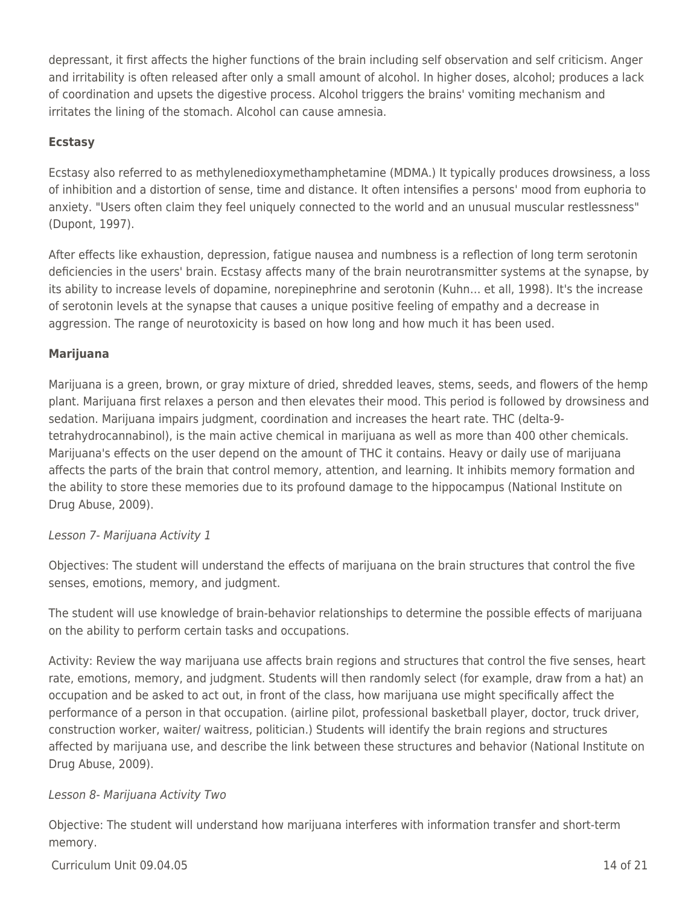depressant, it first affects the higher functions of the brain including self observation and self criticism. Anger and irritability is often released after only a small amount of alcohol. In higher doses, alcohol; produces a lack of coordination and upsets the digestive process. Alcohol triggers the brains' vomiting mechanism and irritates the lining of the stomach. Alcohol can cause amnesia.

#### **Ecstasy**

Ecstasy also referred to as methylenedioxymethamphetamine (MDMA.) It typically produces drowsiness, a loss of inhibition and a distortion of sense, time and distance. It often intensifies a persons' mood from euphoria to anxiety. "Users often claim they feel uniquely connected to the world and an unusual muscular restlessness" (Dupont, 1997).

After effects like exhaustion, depression, fatigue nausea and numbness is a reflection of long term serotonin deficiencies in the users' brain. Ecstasy affects many of the brain neurotransmitter systems at the synapse, by its ability to increase levels of dopamine, norepinephrine and serotonin (Kuhn… et all, 1998). It's the increase of serotonin levels at the synapse that causes a unique positive feeling of empathy and a decrease in aggression. The range of neurotoxicity is based on how long and how much it has been used.

#### **Marijuana**

Marijuana is a green, brown, or gray mixture of dried, shredded leaves, stems, seeds, and flowers of the hemp plant. Marijuana first relaxes a person and then elevates their mood. This period is followed by drowsiness and sedation. Marijuana impairs judgment, coordination and increases the heart rate. THC (delta-9 tetrahydrocannabinol), is the main active chemical in marijuana as well as more than 400 other chemicals. Marijuana's effects on the user depend on the amount of THC it contains. Heavy or daily use of marijuana affects the parts of the brain that control memory, attention, and learning. It inhibits memory formation and the ability to store these memories due to its profound damage to the hippocampus (National Institute on Drug Abuse, 2009).

### Lesson 7- Marijuana Activity 1

Objectives: The student will understand the effects of marijuana on the brain structures that control the five senses, emotions, memory, and judgment.

The student will use knowledge of brain-behavior relationships to determine the possible effects of marijuana on the ability to perform certain tasks and occupations.

Activity: Review the way marijuana use affects brain regions and structures that control the five senses, heart rate, emotions, memory, and judgment. Students will then randomly select (for example, draw from a hat) an occupation and be asked to act out, in front of the class, how marijuana use might specifically affect the performance of a person in that occupation. (airline pilot, professional basketball player, doctor, truck driver, construction worker, waiter/ waitress, politician.) Students will identify the brain regions and structures affected by marijuana use, and describe the link between these structures and behavior (National Institute on Drug Abuse, 2009).

### Lesson 8- Marijuana Activity Two

Objective: The student will understand how marijuana interferes with information transfer and short-term memory.

 $C$ urriculum Unit 09.04.05 14 of 21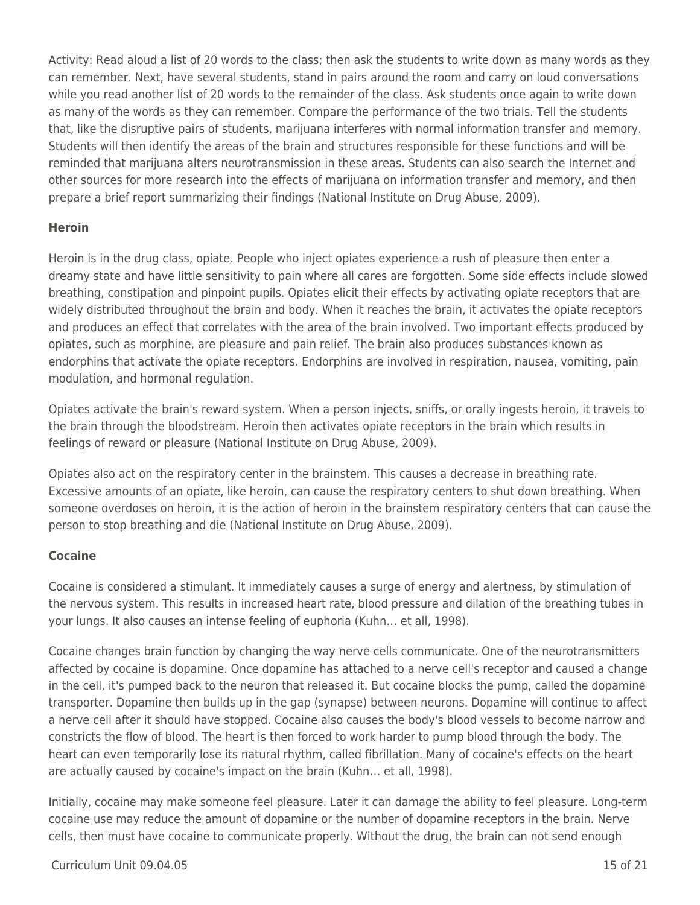Activity: Read aloud a list of 20 words to the class; then ask the students to write down as many words as they can remember. Next, have several students, stand in pairs around the room and carry on loud conversations while you read another list of 20 words to the remainder of the class. Ask students once again to write down as many of the words as they can remember. Compare the performance of the two trials. Tell the students that, like the disruptive pairs of students, marijuana interferes with normal information transfer and memory. Students will then identify the areas of the brain and structures responsible for these functions and will be reminded that marijuana alters neurotransmission in these areas. Students can also search the Internet and other sources for more research into the effects of marijuana on information transfer and memory, and then prepare a brief report summarizing their findings (National Institute on Drug Abuse, 2009).

### **Heroin**

Heroin is in the drug class, opiate. People who inject opiates experience a rush of pleasure then enter a dreamy state and have little sensitivity to pain where all cares are forgotten. Some side effects include slowed breathing, constipation and pinpoint pupils. Opiates elicit their effects by activating opiate receptors that are widely distributed throughout the brain and body. When it reaches the brain, it activates the opiate receptors and produces an effect that correlates with the area of the brain involved. Two important effects produced by opiates, such as morphine, are pleasure and pain relief. The brain also produces substances known as endorphins that activate the opiate receptors. Endorphins are involved in respiration, nausea, vomiting, pain modulation, and hormonal regulation.

Opiates activate the brain's reward system. When a person injects, sniffs, or orally ingests heroin, it travels to the brain through the bloodstream. Heroin then activates opiate receptors in the brain which results in feelings of reward or pleasure (National Institute on Drug Abuse, 2009).

Opiates also act on the respiratory center in the brainstem. This causes a decrease in breathing rate. Excessive amounts of an opiate, like heroin, can cause the respiratory centers to shut down breathing. When someone overdoses on heroin, it is the action of heroin in the brainstem respiratory centers that can cause the person to stop breathing and die (National Institute on Drug Abuse, 2009).

### **Cocaine**

Cocaine is considered a stimulant. It immediately causes a surge of energy and alertness, by stimulation of the nervous system. This results in increased heart rate, blood pressure and dilation of the breathing tubes in your lungs. It also causes an intense feeling of euphoria (Kuhn… et all, 1998).

Cocaine changes brain function by changing the way nerve cells communicate. One of the neurotransmitters affected by cocaine is dopamine. Once dopamine has attached to a nerve cell's receptor and caused a change in the cell, it's pumped back to the neuron that released it. But cocaine blocks the pump, called the dopamine transporter. Dopamine then builds up in the gap (synapse) between neurons. Dopamine will continue to affect a nerve cell after it should have stopped. Cocaine also causes the body's blood vessels to become narrow and constricts the flow of blood. The heart is then forced to work harder to pump blood through the body. The heart can even temporarily lose its natural rhythm, called fibrillation. Many of cocaine's effects on the heart are actually caused by cocaine's impact on the brain (Kuhn… et all, 1998).

Initially, cocaine may make someone feel pleasure. Later it can damage the ability to feel pleasure. Long-term cocaine use may reduce the amount of dopamine or the number of dopamine receptors in the brain. Nerve cells, then must have cocaine to communicate properly. Without the drug, the brain can not send enough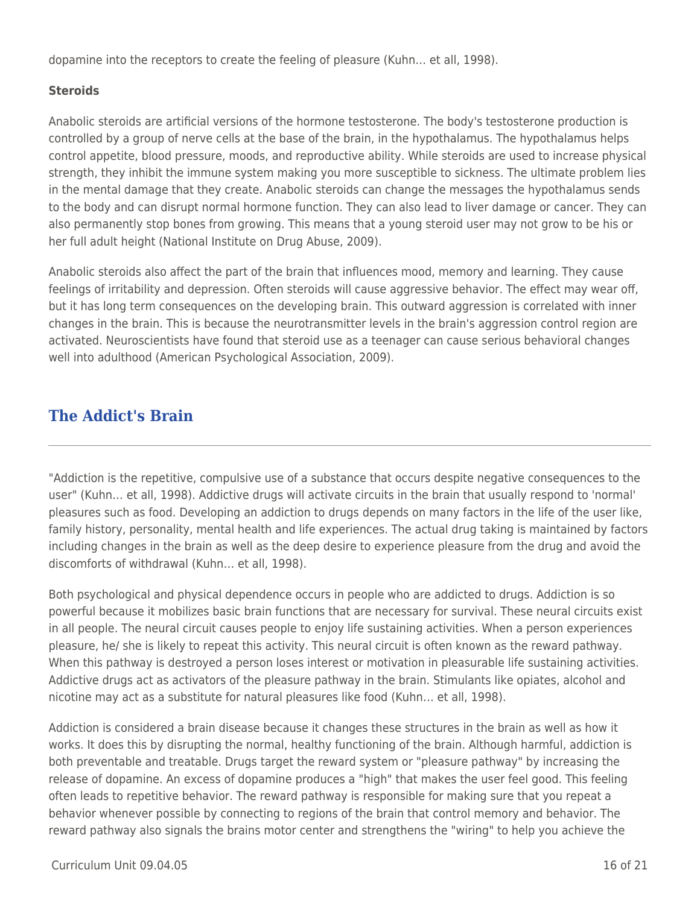dopamine into the receptors to create the feeling of pleasure (Kuhn… et all, 1998).

### **Steroids**

Anabolic steroids are artificial versions of the hormone testosterone. The body's testosterone production is controlled by a group of nerve cells at the base of the brain, in the hypothalamus. The hypothalamus helps control appetite, blood pressure, moods, and reproductive ability. While steroids are used to increase physical strength, they inhibit the immune system making you more susceptible to sickness. The ultimate problem lies in the mental damage that they create. Anabolic steroids can change the messages the hypothalamus sends to the body and can disrupt normal hormone function. They can also lead to liver damage or cancer. They can also permanently stop bones from growing. This means that a young steroid user may not grow to be his or her full adult height (National Institute on Drug Abuse, 2009).

Anabolic steroids also affect the part of the brain that influences mood, memory and learning. They cause feelings of irritability and depression. Often steroids will cause aggressive behavior. The effect may wear off, but it has long term consequences on the developing brain. This outward aggression is correlated with inner changes in the brain. This is because the neurotransmitter levels in the brain's aggression control region are activated. Neuroscientists have found that steroid use as a teenager can cause serious behavioral changes well into adulthood (American Psychological Association, 2009).

# **The Addict's Brain**

"Addiction is the repetitive, compulsive use of a substance that occurs despite negative consequences to the user" (Kuhn… et all, 1998). Addictive drugs will activate circuits in the brain that usually respond to 'normal' pleasures such as food. Developing an addiction to drugs depends on many factors in the life of the user like, family history, personality, mental health and life experiences. The actual drug taking is maintained by factors including changes in the brain as well as the deep desire to experience pleasure from the drug and avoid the discomforts of withdrawal (Kuhn… et all, 1998).

Both psychological and physical dependence occurs in people who are addicted to drugs. Addiction is so powerful because it mobilizes basic brain functions that are necessary for survival. These neural circuits exist in all people. The neural circuit causes people to enjoy life sustaining activities. When a person experiences pleasure, he/ she is likely to repeat this activity. This neural circuit is often known as the reward pathway. When this pathway is destroyed a person loses interest or motivation in pleasurable life sustaining activities. Addictive drugs act as activators of the pleasure pathway in the brain. Stimulants like opiates, alcohol and nicotine may act as a substitute for natural pleasures like food (Kuhn… et all, 1998).

Addiction is considered a brain disease because it changes these structures in the brain as well as how it works. It does this by disrupting the normal, healthy functioning of the brain. Although harmful, addiction is both preventable and treatable. Drugs target the reward system or "pleasure pathway" by increasing the release of dopamine. An excess of dopamine produces a "high" that makes the user feel good. This feeling often leads to repetitive behavior. The reward pathway is responsible for making sure that you repeat a behavior whenever possible by connecting to regions of the brain that control memory and behavior. The reward pathway also signals the brains motor center and strengthens the "wiring" to help you achieve the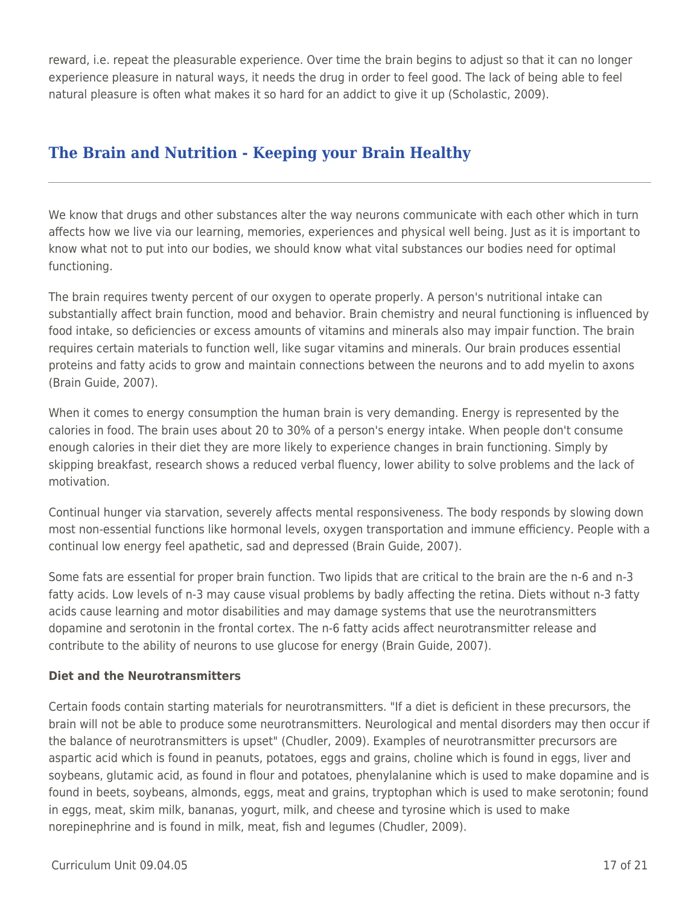reward, i.e. repeat the pleasurable experience. Over time the brain begins to adjust so that it can no longer experience pleasure in natural ways, it needs the drug in order to feel good. The lack of being able to feel natural pleasure is often what makes it so hard for an addict to give it up (Scholastic, 2009).

# **The Brain and Nutrition - Keeping your Brain Healthy**

We know that drugs and other substances alter the way neurons communicate with each other which in turn affects how we live via our learning, memories, experiences and physical well being. Just as it is important to know what not to put into our bodies, we should know what vital substances our bodies need for optimal functioning.

The brain requires twenty percent of our oxygen to operate properly. A person's nutritional intake can substantially affect brain function, mood and behavior. Brain chemistry and neural functioning is influenced by food intake, so deficiencies or excess amounts of vitamins and minerals also may impair function. The brain requires certain materials to function well, like sugar vitamins and minerals. Our brain produces essential proteins and fatty acids to grow and maintain connections between the neurons and to add myelin to axons (Brain Guide, 2007).

When it comes to energy consumption the human brain is very demanding. Energy is represented by the calories in food. The brain uses about 20 to 30% of a person's energy intake. When people don't consume enough calories in their diet they are more likely to experience changes in brain functioning. Simply by skipping breakfast, research shows a reduced verbal fluency, lower ability to solve problems and the lack of motivation.

Continual hunger via starvation, severely affects mental responsiveness. The body responds by slowing down most non-essential functions like hormonal levels, oxygen transportation and immune efficiency. People with a continual low energy feel apathetic, sad and depressed (Brain Guide, 2007).

Some fats are essential for proper brain function. Two lipids that are critical to the brain are the n-6 and n-3 fatty acids. Low levels of n-3 may cause visual problems by badly affecting the retina. Diets without n-3 fatty acids cause learning and motor disabilities and may damage systems that use the neurotransmitters dopamine and serotonin in the frontal cortex. The n-6 fatty acids affect neurotransmitter release and contribute to the ability of neurons to use glucose for energy (Brain Guide, 2007).

### **Diet and the Neurotransmitters**

Certain foods contain starting materials for neurotransmitters. "If a diet is deficient in these precursors, the brain will not be able to produce some neurotransmitters. Neurological and mental disorders may then occur if the balance of neurotransmitters is upset" (Chudler, 2009). Examples of neurotransmitter precursors are aspartic acid which is found in peanuts, potatoes, eggs and grains, choline which is found in eggs, liver and soybeans, glutamic acid, as found in flour and potatoes, phenylalanine which is used to make dopamine and is found in beets, soybeans, almonds, eggs, meat and grains, tryptophan which is used to make serotonin; found in eggs, meat, skim milk, bananas, yogurt, milk, and cheese and tyrosine which is used to make norepinephrine and is found in milk, meat, fish and legumes (Chudler, 2009).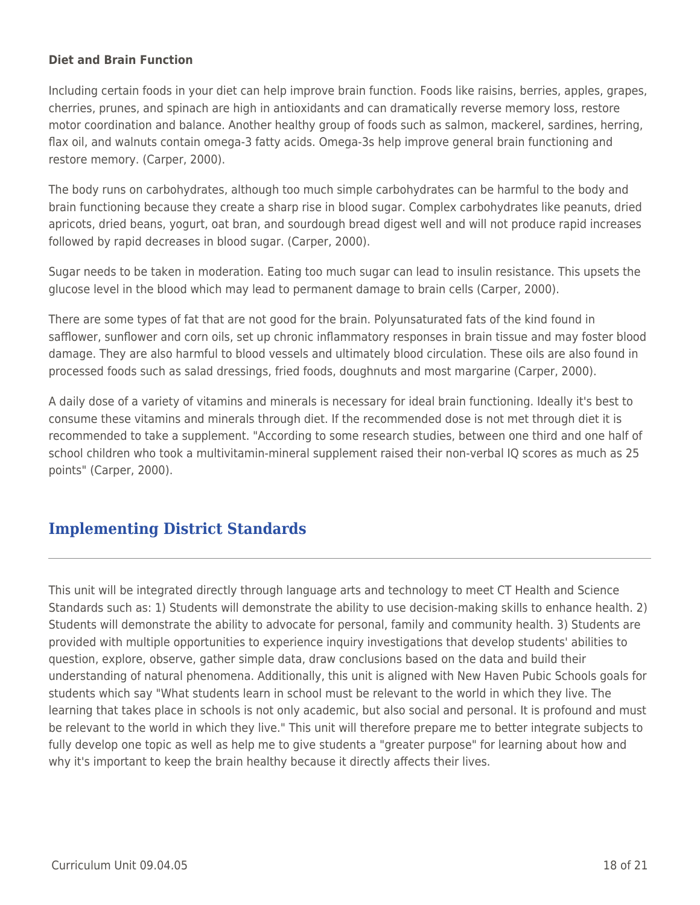#### **Diet and Brain Function**

Including certain foods in your diet can help improve brain function. Foods like raisins, berries, apples, grapes, cherries, prunes, and spinach are high in antioxidants and can dramatically reverse memory loss, restore motor coordination and balance. Another healthy group of foods such as salmon, mackerel, sardines, herring, flax oil, and walnuts contain omega-3 fatty acids. Omega-3s help improve general brain functioning and restore memory. (Carper, 2000).

The body runs on carbohydrates, although too much simple carbohydrates can be harmful to the body and brain functioning because they create a sharp rise in blood sugar. Complex carbohydrates like peanuts, dried apricots, dried beans, yogurt, oat bran, and sourdough bread digest well and will not produce rapid increases followed by rapid decreases in blood sugar. (Carper, 2000).

Sugar needs to be taken in moderation. Eating too much sugar can lead to insulin resistance. This upsets the glucose level in the blood which may lead to permanent damage to brain cells (Carper, 2000).

There are some types of fat that are not good for the brain. Polyunsaturated fats of the kind found in safflower, sunflower and corn oils, set up chronic inflammatory responses in brain tissue and may foster blood damage. They are also harmful to blood vessels and ultimately blood circulation. These oils are also found in processed foods such as salad dressings, fried foods, doughnuts and most margarine (Carper, 2000).

A daily dose of a variety of vitamins and minerals is necessary for ideal brain functioning. Ideally it's best to consume these vitamins and minerals through diet. If the recommended dose is not met through diet it is recommended to take a supplement. "According to some research studies, between one third and one half of school children who took a multivitamin-mineral supplement raised their non-verbal IQ scores as much as 25 points" (Carper, 2000).

# **Implementing District Standards**

This unit will be integrated directly through language arts and technology to meet CT Health and Science Standards such as: 1) Students will demonstrate the ability to use decision-making skills to enhance health. 2) Students will demonstrate the ability to advocate for personal, family and community health. 3) Students are provided with multiple opportunities to experience inquiry investigations that develop students' abilities to question, explore, observe, gather simple data, draw conclusions based on the data and build their understanding of natural phenomena. Additionally, this unit is aligned with New Haven Pubic Schools goals for students which say "What students learn in school must be relevant to the world in which they live. The learning that takes place in schools is not only academic, but also social and personal. It is profound and must be relevant to the world in which they live." This unit will therefore prepare me to better integrate subjects to fully develop one topic as well as help me to give students a "greater purpose" for learning about how and why it's important to keep the brain healthy because it directly affects their lives.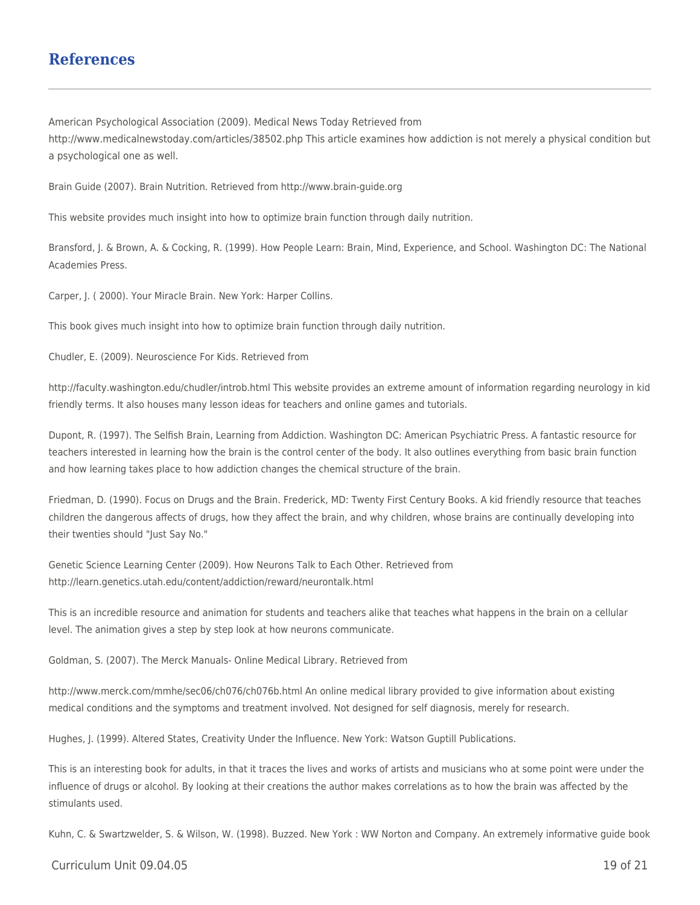### **References**

American Psychological Association (2009). Medical News Today Retrieved from http://www.medicalnewstoday.com/articles/38502.php This article examines how addiction is not merely a physical condition but a psychological one as well.

Brain Guide (2007). Brain Nutrition. Retrieved from http://www.brain-guide.org

This website provides much insight into how to optimize brain function through daily nutrition.

Bransford, J. & Brown, A. & Cocking, R. (1999). How People Learn: Brain, Mind, Experience, and School. Washington DC: The National Academies Press.

Carper, J. ( 2000). Your Miracle Brain. New York: Harper Collins.

This book gives much insight into how to optimize brain function through daily nutrition.

Chudler, E. (2009). Neuroscience For Kids. Retrieved from

http://faculty.washington.edu/chudler/introb.html This website provides an extreme amount of information regarding neurology in kid friendly terms. It also houses many lesson ideas for teachers and online games and tutorials.

Dupont, R. (1997). The Selfish Brain, Learning from Addiction. Washington DC: American Psychiatric Press. A fantastic resource for teachers interested in learning how the brain is the control center of the body. It also outlines everything from basic brain function and how learning takes place to how addiction changes the chemical structure of the brain.

Friedman, D. (1990). Focus on Drugs and the Brain. Frederick, MD: Twenty First Century Books. A kid friendly resource that teaches children the dangerous affects of drugs, how they affect the brain, and why children, whose brains are continually developing into their twenties should "Just Say No."

Genetic Science Learning Center (2009). How Neurons Talk to Each Other. Retrieved from http://learn.genetics.utah.edu/content/addiction/reward/neurontalk.html

This is an incredible resource and animation for students and teachers alike that teaches what happens in the brain on a cellular level. The animation gives a step by step look at how neurons communicate.

Goldman, S. (2007). The Merck Manuals- Online Medical Library. Retrieved from

http://www.merck.com/mmhe/sec06/ch076/ch076b.html An online medical library provided to give information about existing medical conditions and the symptoms and treatment involved. Not designed for self diagnosis, merely for research.

Hughes, J. (1999). Altered States, Creativity Under the Influence. New York: Watson Guptill Publications.

This is an interesting book for adults, in that it traces the lives and works of artists and musicians who at some point were under the influence of drugs or alcohol. By looking at their creations the author makes correlations as to how the brain was affected by the stimulants used.

Kuhn, C. & Swartzwelder, S. & Wilson, W. (1998). Buzzed. New York : WW Norton and Company. An extremely informative guide book

 $C$ urriculum Unit 09.04.05 19 of 21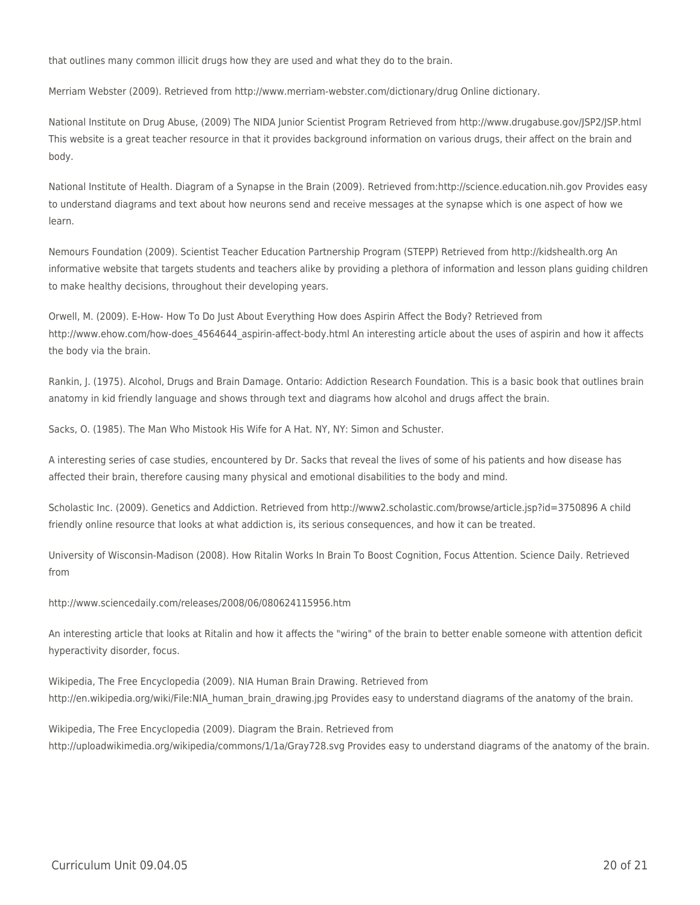that outlines many common illicit drugs how they are used and what they do to the brain.

Merriam Webster (2009). Retrieved from http://www.merriam-webster.com/dictionary/drug Online dictionary.

National Institute on Drug Abuse, (2009) The NIDA Junior Scientist Program Retrieved from http://www.drugabuse.gov/JSP2/JSP.html This website is a great teacher resource in that it provides background information on various drugs, their affect on the brain and body.

National Institute of Health. Diagram of a Synapse in the Brain (2009). Retrieved from:http://science.education.nih.gov Provides easy to understand diagrams and text about how neurons send and receive messages at the synapse which is one aspect of how we learn.

Nemours Foundation (2009). Scientist Teacher Education Partnership Program (STEPP) Retrieved from http://kidshealth.org An informative website that targets students and teachers alike by providing a plethora of information and lesson plans guiding children to make healthy decisions, throughout their developing years.

Orwell, M. (2009). E-How- How To Do Just About Everything How does Aspirin Affect the Body? Retrieved from http://www.ehow.com/how-does\_4564644\_aspirin-affect-body.html An interesting article about the uses of aspirin and how it affects the body via the brain.

Rankin, J. (1975). Alcohol, Drugs and Brain Damage. Ontario: Addiction Research Foundation. This is a basic book that outlines brain anatomy in kid friendly language and shows through text and diagrams how alcohol and drugs affect the brain.

Sacks, O. (1985). The Man Who Mistook His Wife for A Hat. NY, NY: Simon and Schuster.

A interesting series of case studies, encountered by Dr. Sacks that reveal the lives of some of his patients and how disease has affected their brain, therefore causing many physical and emotional disabilities to the body and mind.

Scholastic Inc. (2009). Genetics and Addiction. Retrieved from http://www2.scholastic.com/browse/article.jsp?id=3750896 A child friendly online resource that looks at what addiction is, its serious consequences, and how it can be treated.

University of Wisconsin-Madison (2008). How Ritalin Works In Brain To Boost Cognition, Focus Attention. Science Daily. Retrieved from

http://www.sciencedaily.com/releases/2008/06/080624115956.htm

An interesting article that looks at Ritalin and how it affects the "wiring" of the brain to better enable someone with attention deficit hyperactivity disorder, focus.

Wikipedia, The Free Encyclopedia (2009). NIA Human Brain Drawing. Retrieved from http://en.wikipedia.org/wiki/File:NIA\_human\_brain\_drawing.jpg Provides easy to understand diagrams of the anatomy of the brain.

Wikipedia, The Free Encyclopedia (2009). Diagram the Brain. Retrieved from http://uploadwikimedia.org/wikipedia/commons/1/1a/Gray728.svg Provides easy to understand diagrams of the anatomy of the brain.